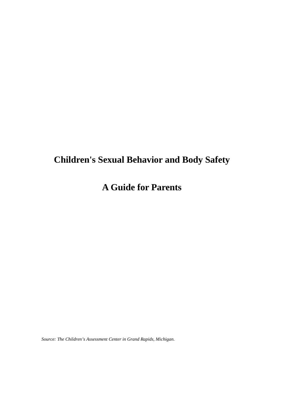# **Children's Sexual Behavior and Body Safety**

## **A Guide for Parents**

*Source: The Children's Assessment Center in Grand Rapids, Michigan.*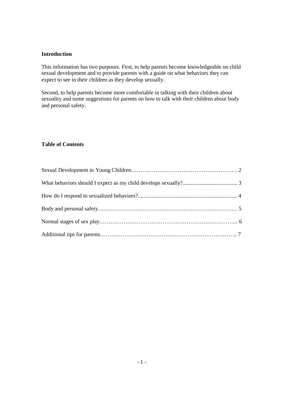#### **Introduction**

This information has two purposes. First, to help parents become knowledgeable on child sexual development and to provide parents with a guide on what behaviors they can expect to see in their children as they develop sexually.

Second, to help parents become more comfortable in talking with their children about sexuality and some suggestions for parents on how to talk with their children about body and personal safety.

#### **Table of Contents**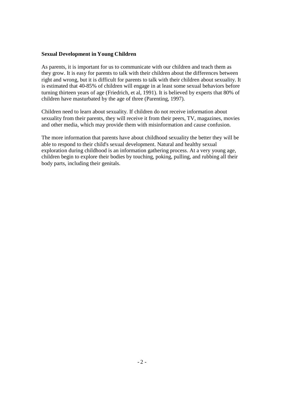#### **Sexual Development in Young Children**

As parents, it is important for us to communicate with our children and teach them as they grow. It is easy for parents to talk with their children about the differences between right and wrong, but it is difficult for parents to talk with their children about sexuality. It is estimated that 40-85% of children will engage in at least some sexual behaviors before turning thirteen years of age (Friedrich, et al, 1991). It is believed by experts that 80% of children have masturbated by the age of three (Parenting, 1997).

Children need to learn about sexuality. If children do not receive information about sexuality from their parents, they will receive it from their peers, TV, magazines, movies and other media, which may provide them with misinformation and cause confusion.

The more information that parents have about childhood sexuality the better they will be able to respond to their child's sexual development. Natural and healthy sexual exploration during childhood is an information gathering process. At a very young age, children begin to explore their bodies by touching, poking, pulling, and rubbing all their body parts, including their genitals.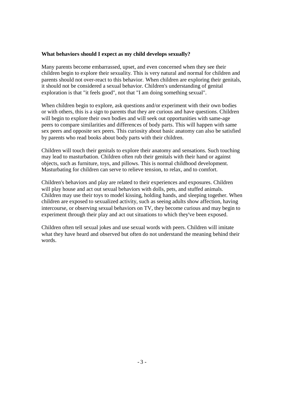#### **What behaviors should I expect as my child develops sexually?**

Many parents become embarrassed, upset, and even concerned when they see their children begin to explore their sexuality. This is very natural and normal for children and parents should not over-react to this behavior. When children are exploring their genitals, it should not be considered a sexual behavior. Children's understanding of genital exploration is that "it feels good", not that "I am doing something sexual".

When children begin to explore, ask questions and/or experiment with their own bodies or with others, this is a sign to parents that they are curious and have questions. Children will begin to explore their own bodies and will seek out opportunities with same-age peers to compare similarities and differences of body parts. This will happen with same sex peers and opposite sex peers. This curiosity about basic anatomy can also be satisfied by parents who read books about body parts with their children.

Children will touch their genitals to explore their anatomy and sensations. Such touching may lead to masturbation. Children often rub their genitals with their hand or against objects, such as furniture, toys, and pillows. This is normal childhood development. Masturbating for children can serve to relieve tension, to relax, and to comfort.

Children's behaviors and play are related to their experiences and exposures. Children will play house and act out sexual behaviors with dolls, pets, and stuffed animals. Children may use their toys to model kissing, holding hands, and sleeping together. When children are exposed to sexualized activity, such as seeing adults show affection, having intercourse, or observing sexual behaviors on TV, they become curious and may begin to experiment through their play and act out situations to which they've been exposed.

Children often tell sexual jokes and use sexual words with peers. Children will imitate what they have heard and observed but often do not understand the meaning behind their words.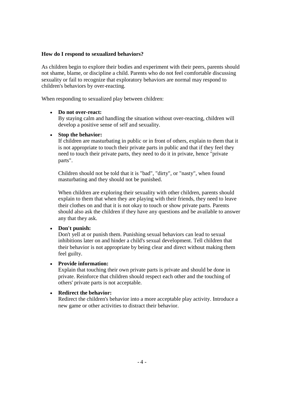#### **How do I respond to sexualized behaviors?**

As children begin to explore their bodies and experiment with their peers, parents should not shame, blame, or discipline a child. Parents who do not feel comfortable discussing sexuality or fail to recognize that exploratory behaviors are normal may respond to children's behaviors by over-reacting.

When responding to sexualized play between children:

#### **Do not over-react:**

By staying calm and handling the situation without over-reacting, children will develop a positive sense of self and sexuality.

#### **Stop the behavior:**

If children are masturbating in public or in front of others, explain to them that it is not appropriate to touch their private parts in public and that if they feel they need to touch their private parts, they need to do it in private, hence "private parts".

Children should not be told that it is "bad", "dirty", or "nasty", when found masturbating and they should not be punished.

When children are exploring their sexuality with other children, parents should explain to them that when they are playing with their friends, they need to leave their clothes on and that it is not okay to touch or show private parts. Parents should also ask the children if they have any questions and be available to answer any that they ask.

#### **Don't punish:**

Don't yell at or punish them. Punishing sexual behaviors can lead to sexual inhibitions later on and hinder a child's sexual development. Tell children that their behavior is not appropriate by being clear and direct without making them feel guilty.

#### **Provide information:**

Explain that touching their own private parts is private and should be done in private. Reinforce that children should respect each other and the touching of others' private parts is not acceptable.

#### **Redirect the behavior:**

Redirect the children's behavior into a more acceptable play activity. Introduce a new game or other activities to distract their behavior.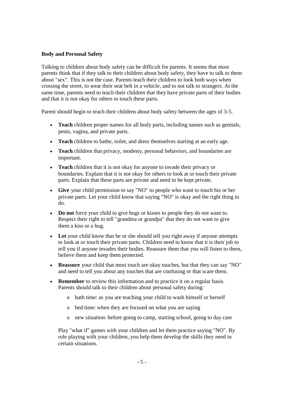#### **Body and Personal Safety**

Talking to children about body safety can be difficult for parents. It seems that most parents think that if they talk to their children about body safety, they have to talk to them about "sex". This is not the case. Parents teach their children to look both ways when crossing the street, to wear their seat belt in a vehicle, and to not talk to strangers. At the same time, parents need to teach their children that they have private parts of their bodies and that it is not okay for others to touch these parts.

Parent should begin to teach their children about body safety between the ages of 3-5.

- **Teach** children proper names for all body parts, including names such as genitals, penis, vagina, and private parts.
- **Teach** children to bathe, toilet, and dress themselves starting at an early age.
- **Teach** children that privacy, modesty, personal behaviors, and boundaries are important.
- **Teach** children that it is not okay for anyone to invade their privacy or boundaries. Explain that it is not okay for others to look at or touch their private parts. Explain that these parts are private and need to be kept private.
- **Give** your child permission to say "NO" to people who want to touch his or her private parts. Let your child know that saying "NO" is okay and the right thing to do.
- **Do not** force your child to give hugs or kisses to people they do not want to. Respect their right to tell "grandma or grandpa" that they do not want to give them a kiss or a hug.
- **Let** your child know that he or she should tell you right away if anyone attempts to look at or touch their private parts. Children need to know that it is their job to tell you if anyone invades their bodies. Reassure them that you will listen to them, believe them and keep them protected.
- **Reassure** your child that most touch are okay touches, but that they can say "NO" and need to tell you about any touches that are confusing or that scare them.
- **Remember** to review this information and to practice it on a regular basis. Parents should talk to their children about personal safety during:
	- o bath time: as you are teaching your child to wash himself or herself
	- o bed time: when they are focused on what you are saying
	- o new situation: before going to camp, starting school, going to day care

Play "what if" games with your children and let them practice saying "NO". By role playing with your children, you help them develop the skills they need in certain situations.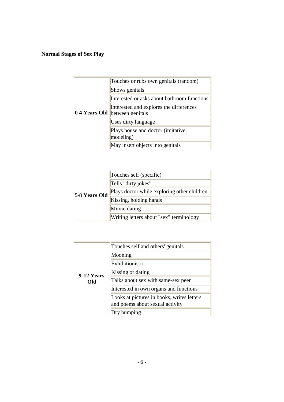### **Normal Stages of Sex Play**

| 0-4 Years Old | Touches or rubs own genitals (random)                       |
|---------------|-------------------------------------------------------------|
|               | Shows genitals                                              |
|               | Interested or asks about bathroom functions                 |
|               | Interested and explores the differences<br>between genitals |
|               | Uses dirty language                                         |
|               | Plays house and doctor (imitative,<br>modeling)             |
|               | May insert objects into genitals                            |

| 5-8 Years Old | Touches self (specific)                     |
|---------------|---------------------------------------------|
|               | Tells "dirty jokes"                         |
|               | Plays doctor while exploring other children |
|               | Kissing, holding hands                      |
|               | Mimic dating                                |
|               | Writing letters about "sex" terminology     |

| 9-12 Years<br>Old | Touches self and others' genitals          |
|-------------------|--------------------------------------------|
|                   | Mooning                                    |
|                   | Exhibitionistic                            |
|                   | Kissing or dating                          |
|                   | Talks about sex with same-sex peer         |
|                   | Interested in own organs and functions     |
|                   | Looks at pictures in books, writes letters |
|                   | and poems about sexual activity            |
|                   | Dry humping                                |